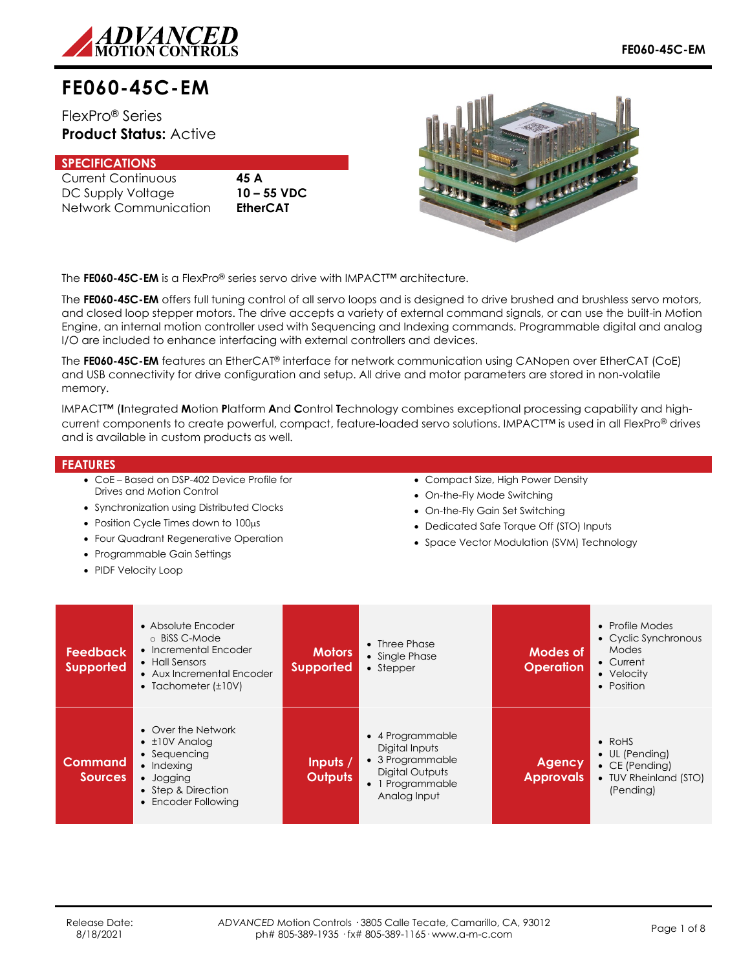

# **FE060-45C-EM**

FlexPro® Series **Product Status:** Active

# **SPECIFICATIONS**

Current Continuous **45 A** DC Supply Voltage **10 – 55 VDC** Network Communication **EtherCAT**



The **FE060-45C-EM** is a FlexPro® series servo drive with IMPACT™ architecture.

The **FE060-45C-EM** offers full tuning control of all servo loops and is designed to drive brushed and brushless servo motors, and closed loop stepper motors. The drive accepts a variety of external command signals, or can use the built-in Motion Engine, an internal motion controller used with Sequencing and Indexing commands. Programmable digital and analog I/O are included to enhance interfacing with external controllers and devices.

The **FE060-45C-EM** features an EtherCAT® interface for network communication using CANopen over EtherCAT (CoE) and USB connectivity for drive configuration and setup. All drive and motor parameters are stored in non-volatile memory.

IMPACT™ (**I**ntegrated **M**otion **P**latform **A**nd **C**ontrol **T**echnology combines exceptional processing capability and highcurrent components to create powerful, compact, feature-loaded servo solutions. IMPACT™ is used in all FlexPro® drives and is available in custom products as well.

### **FEATURES**

- CoE Based on DSP-402 Device Profile for Drives and Motion Control
- Synchronization using Distributed Clocks
- Position Cycle Times down to 100µs
- Four Quadrant Regenerative Operation
- Programmable Gain Settings
- PIDF Velocity Loop
- Compact Size, High Power Density
- On-the-Fly Mode Switching
- On-the-Fly Gain Set Switching
- Dedicated Safe Torque Off (STO) Inputs
- Space Vector Modulation (SVM) Technology

| <b>Feedback</b><br><b>Supported</b> | • Absolute Encoder<br>o BiSS C-Mode<br>• Incremental Encoder<br>• Hall Sensors<br>• Aux Incremental Encoder<br>• Tachometer $(\pm 10V)$          | <b>Motors</b><br><b>Supported</b> | $\bullet$ Three Phase<br>• Single Phase<br>• Stepper                                                          | Modes of<br><b>Operation</b>      | • Profile Modes<br>• Cyclic Synchronous<br>Modes<br>• Current<br>• Velocity<br>• Position                |
|-------------------------------------|--------------------------------------------------------------------------------------------------------------------------------------------------|-----------------------------------|---------------------------------------------------------------------------------------------------------------|-----------------------------------|----------------------------------------------------------------------------------------------------------|
| <b>Command</b><br><b>Sources</b>    | • Over the Network<br>$\bullet$ $\pm$ 10V Analog<br>• Sequencing<br>$\bullet$ Indexing<br>• Jogging<br>• Step & Direction<br>• Encoder Following | Inputs $/$<br><b>Outputs</b>      | • 4 Programmable<br>Digital Inputs<br>• 3 Programmable<br>Digital Outputs<br>• 1 Programmable<br>Analog Input | <b>Agency</b><br><b>Approvals</b> | $\bullet$ RoHS<br>$\bullet$ UL (Pending)<br>$\bullet$ CE (Pending)<br>• TUV Rheinland (STO)<br>(Pending) |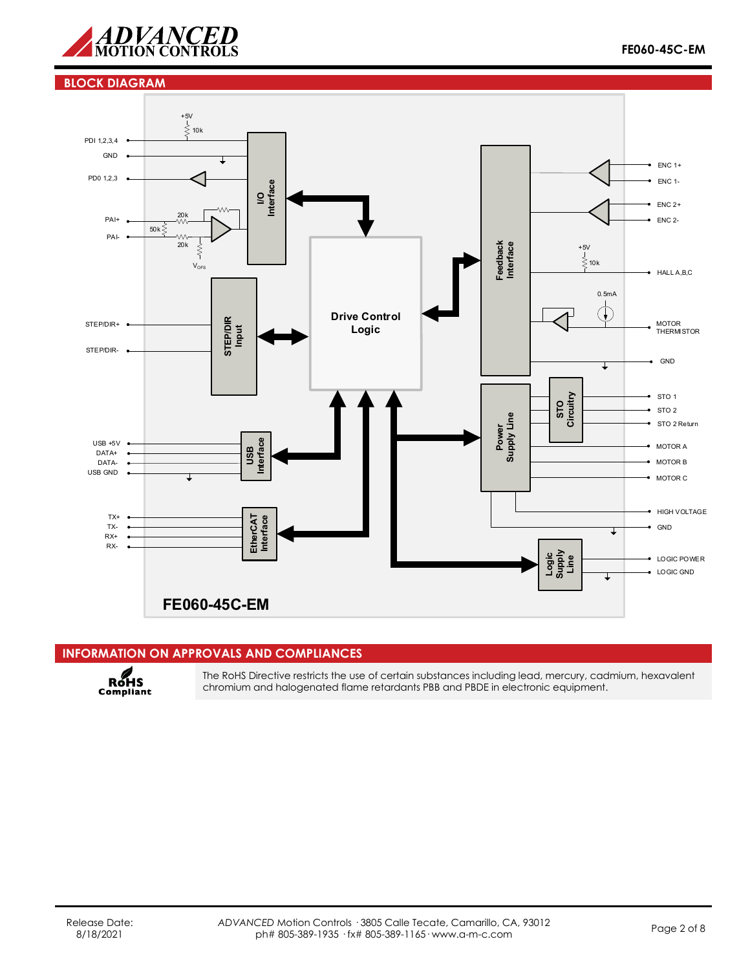

#### **BLOCK DIAGRAM**



# **INFORMATION ON APPROVALS AND COMPLIANCES**



The RoHS Directive restricts the use of certain substances including lead, mercury, cadmium, hexavalent chromium and halogenated flame retardants PBB and PBDE in electronic equipment.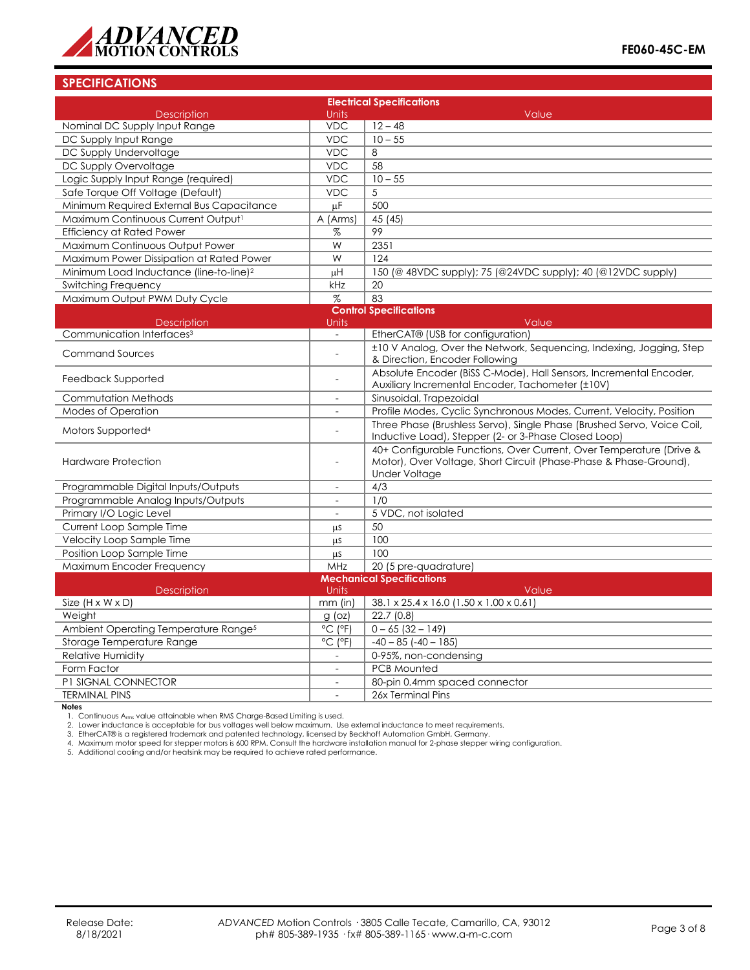

# **SPECIFICATIONS**

| <b>Electrical Specifications</b>                    |                              |                                                                                                                                                                  |  |  |  |
|-----------------------------------------------------|------------------------------|------------------------------------------------------------------------------------------------------------------------------------------------------------------|--|--|--|
| <b>Description</b><br><b>Units</b><br>Value         |                              |                                                                                                                                                                  |  |  |  |
| Nominal DC Supply Input Range                       | <b>VDC</b>                   | $12 - 48$                                                                                                                                                        |  |  |  |
| DC Supply Input Range                               | <b>VDC</b>                   | $10 - 55$                                                                                                                                                        |  |  |  |
| DC Supply Undervoltage                              | <b>VDC</b>                   | 8                                                                                                                                                                |  |  |  |
| DC Supply Overvoltage                               | <b>VDC</b>                   | 58                                                                                                                                                               |  |  |  |
| Logic Supply Input Range (required)                 | <b>VDC</b>                   | $10 - 55$                                                                                                                                                        |  |  |  |
| Safe Torque Off Voltage (Default)                   | <b>VDC</b>                   | 5                                                                                                                                                                |  |  |  |
| Minimum Required External Bus Capacitance           | $\mu$ F                      | 500                                                                                                                                                              |  |  |  |
| Maximum Continuous Current Output <sup>1</sup>      | A (Arms)                     | 45 (45)                                                                                                                                                          |  |  |  |
| <b>Efficiency at Rated Power</b>                    | %                            | 99                                                                                                                                                               |  |  |  |
| Maximum Continuous Output Power                     | W                            | 2351                                                                                                                                                             |  |  |  |
| Maximum Power Dissipation at Rated Power            | W                            | 124                                                                                                                                                              |  |  |  |
| Minimum Load Inductance (line-to-line) <sup>2</sup> | μH                           | 150 (@ 48VDC supply); 75 (@24VDC supply); 40 (@12VDC supply)                                                                                                     |  |  |  |
| <b>Switching Frequency</b>                          | kHz                          | 20                                                                                                                                                               |  |  |  |
| Maximum Output PWM Duty Cycle                       | $\%$                         | 83                                                                                                                                                               |  |  |  |
|                                                     |                              | <b>Control Specifications</b>                                                                                                                                    |  |  |  |
| <b>Description</b>                                  | Units                        | Value                                                                                                                                                            |  |  |  |
| Communication Interfaces <sup>3</sup>               | $\overline{a}$               | EtherCAT® (USB for configuration)                                                                                                                                |  |  |  |
| <b>Command Sources</b>                              | $\overline{a}$               | ±10 V Analog, Over the Network, Sequencing, Indexing, Jogging, Step<br>& Direction, Encoder Following                                                            |  |  |  |
| Feedback Supported                                  |                              | Absolute Encoder (BiSS C-Mode), Hall Sensors, Incremental Encoder,<br>Auxiliary Incremental Encoder, Tachometer (±10V)                                           |  |  |  |
| <b>Commutation Methods</b>                          |                              | Sinusoidal, Trapezoidal                                                                                                                                          |  |  |  |
| <b>Modes of Operation</b>                           | $\overline{\phantom{a}}$     | Profile Modes, Cyclic Synchronous Modes, Current, Velocity, Position                                                                                             |  |  |  |
| Motors Supported <sup>4</sup>                       |                              | Three Phase (Brushless Servo), Single Phase (Brushed Servo, Voice Coil,<br>Inductive Load), Stepper (2- or 3-Phase Closed Loop)                                  |  |  |  |
| <b>Hardware Protection</b>                          | $\overline{a}$               | 40+ Configurable Functions, Over Current, Over Temperature (Drive &<br>Motor), Over Voltage, Short Circuit (Phase-Phase & Phase-Ground),<br><b>Under Voltage</b> |  |  |  |
| Programmable Digital Inputs/Outputs                 | $\overline{\phantom{a}}$     | 4/3                                                                                                                                                              |  |  |  |
| Programmable Analog Inputs/Outputs                  | $\overline{a}$               | 1/0                                                                                                                                                              |  |  |  |
| Primary I/O Logic Level                             |                              | 5 VDC, not isolated                                                                                                                                              |  |  |  |
| Current Loop Sample Time                            | μs                           | 50                                                                                                                                                               |  |  |  |
| Velocity Loop Sample Time                           | μs                           | 100                                                                                                                                                              |  |  |  |
| Position Loop Sample Time                           | <b>LLS</b>                   | 100                                                                                                                                                              |  |  |  |
| Maximum Encoder Frequency                           | MHz                          | 20 (5 pre-quadrature)                                                                                                                                            |  |  |  |
| <b>Mechanical Specifications</b>                    |                              |                                                                                                                                                                  |  |  |  |
| Description                                         | Units                        | Value                                                                                                                                                            |  |  |  |
| Size $(H \times W \times D)$                        | $mm$ (in)                    | 38.1 x 25.4 x 16.0 (1.50 x 1.00 x 0.61)                                                                                                                          |  |  |  |
| Weight                                              | $g$ (oz)                     | 22.7(0.8)                                                                                                                                                        |  |  |  |
| Ambient Operating Temperature Range <sup>5</sup>    | $^{\circ}$ C ( $^{\circ}$ F) | $0 - 65(32 - 149)$                                                                                                                                               |  |  |  |
| Storage Temperature Range                           | $^{\circ}$ C ( $^{\circ}$ F) | $-40 - 85$ $(-40 - 185)$                                                                                                                                         |  |  |  |
| <b>Relative Humidity</b>                            |                              | 0-95%, non-condensing                                                                                                                                            |  |  |  |
| Form Factor                                         |                              | <b>PCB Mounted</b>                                                                                                                                               |  |  |  |
| P1 SIGNAL CONNECTOR                                 | $\sim$                       | 80-pin 0.4mm spaced connector                                                                                                                                    |  |  |  |
| <b>TERMINAL PINS</b>                                | $\overline{a}$               | 26x Terminal Pins                                                                                                                                                |  |  |  |

**Notes**<br>1. Continuous A<sub>rms</sub> value attainable when RMS Charge-Based Limiting is used.<br>2. Lower inductance is acceptable for bus voltages well below maximum. Use external inductance to meet requirements.

3. EtherCAT® is a registered trademark and patented technology, licensed by Beckhoff Automation GmbH, Germany.

4. Maximum motor speed for stepper motors is 600 RPM. Consult the hardware installation manual for 2-phase stepper wiring configuration.

5. Additional cooling and/or heatsink may be required to achieve rated performance.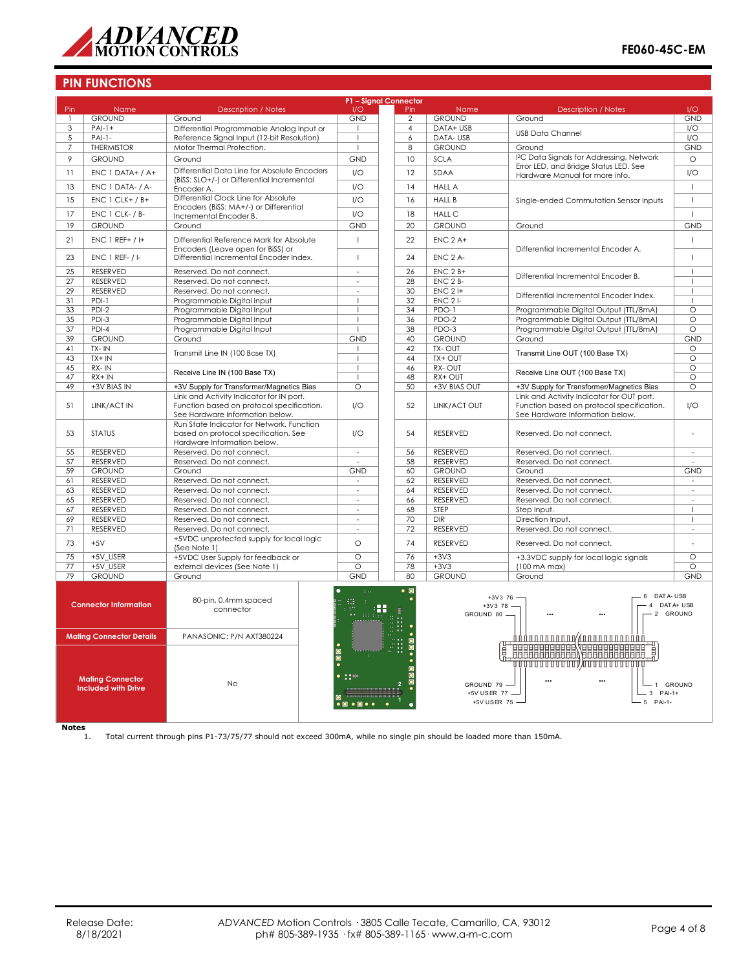

## **PIN FUNCTIONS**

| P1 - Signal Connector                                 |                               |                                                                                       |                                               |                        |                           |                                                                                        |                          |
|-------------------------------------------------------|-------------------------------|---------------------------------------------------------------------------------------|-----------------------------------------------|------------------------|---------------------------|----------------------------------------------------------------------------------------|--------------------------|
| Pin                                                   | Name                          | <b>Description / Notes</b>                                                            | 1/O                                           | Pin                    | Name                      | <b>Description / Notes</b>                                                             | I/O                      |
| $\mathbf{1}$                                          | <b>GROUND</b>                 | Ground                                                                                | <b>GND</b>                                    | $\overline{2}$         | <b>GROUND</b>             | Ground                                                                                 | <b>GND</b>               |
| 3                                                     | $PAI-1+$                      | Differential Programmable Analog Input or                                             |                                               | $\overline{4}$         | DATA+ USB                 | <b>USB Data Channel</b>                                                                | I/O                      |
| 5                                                     | $PAI-1-$<br><b>THERMISTOR</b> | Reference Sianal Input (12-bit Resolution)<br>Motor Thermal Protection.               | $\overline{1}$                                | 6                      | DATA-USB<br><b>GROUND</b> |                                                                                        | 1/O<br><b>GND</b>        |
| 7                                                     |                               |                                                                                       | J.                                            | 8                      |                           | Ground<br>I <sup>2</sup> C Data Signals for Addressing, Network                        |                          |
| 9                                                     | <b>GROUND</b>                 | Ground                                                                                | <b>GND</b>                                    | 10                     | <b>SCLA</b>               | Error LED, and Bridge Status LED. See                                                  | $\circ$                  |
| 11                                                    | $ENC 1 DATA+ / A+$            | Differential Data Line for Absolute Encoders                                          | 1/O                                           | 12                     | <b>SDAA</b>               | Hardware Manual for more info.                                                         | 1/O                      |
| 13                                                    | ENC 1 DATA- / A-              | (BiSS: SLO+/-) or Differential Incremental                                            | 1/O                                           | 14                     | <b>HALL A</b>             |                                                                                        | $\mathbf{I}$             |
|                                                       |                               | Encoder A.<br>Differential Clock Line for Absolute                                    |                                               |                        |                           |                                                                                        |                          |
| 15                                                    | $ENC 1 CLK+ / B+$             | Encoders (BiSS: MA+/-) or Differential                                                | I/O                                           | 16                     | <b>HALL B</b>             | Single-ended Commutation Sensor Inputs                                                 | $\overline{1}$           |
| 17                                                    | <b>ENC 1 CLK-/B-</b>          | Incremental Encoder B.                                                                | 1/O                                           | 18                     | <b>HALL C</b>             |                                                                                        | $\mathbf{I}$             |
| 19                                                    | <b>GROUND</b>                 | Ground                                                                                | <b>GND</b>                                    | 20                     | <b>GROUND</b>             | Ground                                                                                 | <b>GND</b>               |
| 21                                                    | ENC 1 REF+ / I+               | Differential Reference Mark for Absolute                                              | $\overline{1}$                                | 22                     | $ENC$ 2 A+                |                                                                                        | $\mathbf{I}$             |
|                                                       |                               | Encoders (Leave open for BiSS) or                                                     |                                               |                        |                           | Differential Incremental Encoder A.                                                    |                          |
| 23                                                    | <b>ENC 1 REF- / I-</b>        | Differential Incremental Encoder Index.                                               | $\overline{1}$                                | 24                     | ENC 2 A-                  |                                                                                        | $\mathbf{I}$             |
| $\overline{25}$                                       | <b>RESERVED</b>               | Reserved. Do not connect.                                                             | $\sim$                                        | $\overline{26}$        |                           |                                                                                        | $\mathbf{I}$             |
| 27                                                    | <b>RESERVED</b>               | Reserved. Do not connect.                                                             |                                               | 28                     | $ENC 2B+$<br>ENC 2 B-     | Differential Incremental Encoder B.                                                    | $\mathbf{I}$             |
| 29                                                    | RESERVED                      | Reserved. Do not connect.                                                             | $\sim$                                        | 30                     | $ENC$ 2 $H$               |                                                                                        | -1                       |
| 31                                                    | $PDI-1$                       | Programmable Digital Input                                                            | $\overline{1}$                                | 32                     | $ENC$ 2 $I-$              | Differential Incremental Encoder Index.                                                | $\overline{1}$           |
| 33                                                    | $PDI-2$                       | Programmable Digital Input                                                            | $\overline{1}$                                | 34                     | $PDO-1$                   | Programmable Digital Output (TTL/8mA)                                                  | $\overline{\circ}$       |
| 35                                                    | $PDI-3$                       | Programmable Digital Input                                                            | $\overline{1}$                                | 36                     | PDO-2                     | Programmable Digital Output (TTL/8mA)                                                  | $\Omega$                 |
| $\overline{37}$                                       | $PDI-4$                       | Programmable Digital Input                                                            |                                               | 38                     | $PDO-3$                   | Programmable Digital Output (TTL/8mA)                                                  | O                        |
| 39                                                    | <b>GROUND</b>                 | Ground                                                                                | <b>GND</b>                                    | 40                     | <b>GROUND</b>             | Ground                                                                                 | <b>GND</b>               |
| 41                                                    | TX-IN                         | Transmit Line IN (100 Base TX)                                                        |                                               | 42                     | TX-OUT                    | Transmit Line OUT (100 Base TX)                                                        | O                        |
| 43                                                    | $TX + IN$                     |                                                                                       |                                               | 44                     | TX+ OUT                   |                                                                                        | $\circ$                  |
| 45                                                    | $RX - IN$                     | Receive Line IN (100 Base TX)                                                         | $\overline{1}$                                | 46                     | RX-OUT                    | Receive Line OUT (100 Base TX)                                                         | $\circ$                  |
| 47                                                    | $RX + IN$                     |                                                                                       |                                               | 48                     | RX+ OUT                   |                                                                                        | $\circ$                  |
| 49                                                    | +3V BIAS IN                   | +3V Supply for Transformer/Magnetics Bias                                             | $\Omega$                                      | 50                     | +3V BIAS OUT              | +3V Supply for Transformer/Magnetics Bias                                              | O                        |
| 51                                                    | LINK/ACT IN                   | Link and Activity Indicator for IN port.<br>Function based on protocol specification. | 1/O                                           | 52                     | LINK/ACT OUT              | Link and Activity Indicator for OUT port.<br>Function based on protocol specification. | 1/O                      |
|                                                       |                               | See Hardware Information below.                                                       |                                               |                        |                           | See Hardware Information below.                                                        |                          |
|                                                       |                               | Run State Indicator for Network. Function                                             |                                               |                        |                           |                                                                                        |                          |
| 53                                                    | <b>STATUS</b>                 | based on protocol specification. See                                                  | 1/O                                           | 54                     | <b>RESERVED</b>           | Reserved. Do not connect.                                                              |                          |
|                                                       |                               | Hardware Information below.                                                           |                                               |                        |                           |                                                                                        |                          |
| 55                                                    | RESERVED                      | Reserved. Do not connect.                                                             | $\omega$                                      | 56                     | RESERVED                  | Reserved. Do not connect.                                                              | $\sim$                   |
| 57                                                    | RESERVED                      | Reserved. Do not connect.                                                             |                                               | 58                     | RESERVED                  | Reserved. Do not connect.                                                              |                          |
| 59                                                    | <b>GROUND</b>                 | Ground                                                                                | <b>GND</b>                                    | 60                     | <b>GROUND</b>             | Ground                                                                                 | <b>GND</b>               |
| 61                                                    | RESERVED                      | Reserved. Do not connect.                                                             | $\overline{\phantom{a}}$                      | 62                     | RESERVED                  | Reserved. Do not connect.                                                              | $\overline{\phantom{a}}$ |
| 63<br>65                                              | RESERVED<br>RESERVED          | Reserved. Do not connect.<br>Reserved. Do not connect.                                | $\omega$                                      | 64<br>66               | RESERVED<br>RESERVED      | Reserved. Do not connect.<br>Reserved. Do not connect.                                 | $\sim$                   |
| 67                                                    | RESERVED                      | Reserved. Do not connect.                                                             | $\sim$                                        | 68                     | STEP                      | Step Input.                                                                            | $\mathbf{I}$             |
| 69                                                    | <b>RESERVED</b>               | Reserved. Do not connect.                                                             | $\sim$                                        | 70                     | <b>DIR</b>                | Direction Input.                                                                       | $\mathbf{I}$             |
| 71                                                    | RESERVED                      | Reserved. Do not connect.                                                             | ÷.                                            | 72                     | RESERVED                  | Reserved. Do not connect.                                                              |                          |
|                                                       |                               | +5VDC unprotected supply for local logic                                              |                                               |                        |                           |                                                                                        |                          |
| 73                                                    | $+5V$                         | (See Note 1)                                                                          | O                                             | 74                     | <b>RESERVED</b>           | Reserved. Do not connect.                                                              |                          |
| 75                                                    | +5V USER                      | +5VDC User Supply for feedback or                                                     | $\overline{\circ}$                            | 76                     | $+3V3$                    | +3.3VDC supply for local logic signals                                                 | $\overline{\circ}$       |
| 77                                                    | +5V USER                      | external devices (See Note 1)                                                         | $\overline{\circ}$                            | 78                     | $+3V3$                    | $(100 \text{ mA max})$                                                                 | $\circ$                  |
| 79                                                    | <b>GROUND</b>                 | Ground                                                                                | <b>GND</b>                                    | 80                     | <b>GROUND</b>             | Ground                                                                                 | <b>GND</b>               |
|                                                       |                               |                                                                                       | $\mathbb{R}^n$                                | $\bullet$ 0            |                           |                                                                                        |                          |
|                                                       | <b>Connector Information</b>  | 80-pin, 0.4mm spaced                                                                  | ₩                                             |                        |                           | DATA-USB<br>$+3V3$ 76 -<br>6<br>4 DAT A+ USB                                           |                          |
|                                                       |                               | connector                                                                             | $\mathbf{H} = 111.1$                          | x                      | $+3V378 -$<br>GROUND 80 - |                                                                                        | 2 GROUND                 |
|                                                       |                               |                                                                                       |                                               |                        |                           |                                                                                        |                          |
|                                                       |                               | PANASONIC: P/N AXT380224                                                              |                                               |                        |                           |                                                                                        |                          |
| <b>Mating Connector Details</b>                       |                               |                                                                                       |                                               |                        |                           |                                                                                        |                          |
|                                                       |                               |                                                                                       | $\frac{1}{2}$                                 |                        |                           | <b>BEBBEEREER FEBBEEREEREEREER</b>                                                     |                          |
|                                                       |                               |                                                                                       |                                               |                        |                           | ,,,,,,,,,,,,,,,,,,,,,,,,,,,,,,,                                                        |                          |
| <b>Mating Connector</b><br><b>Included with Drive</b> |                               |                                                                                       |                                               |                        |                           |                                                                                        |                          |
|                                                       |                               | No                                                                                    |                                               | $\ddotsc$<br>GROUND 79 |                           | $\ddotsc$                                                                              | 1 GROUND                 |
|                                                       |                               |                                                                                       |                                               |                        | +5V USER 77 -             | $-3$ PAI-1+                                                                            |                          |
|                                                       |                               |                                                                                       | $\bullet$ $\circ$ $\bullet$ $\circ$ $\bullet$ |                        | +5V USER 75 -             | $-5$ PAI-1-                                                                            |                          |
|                                                       |                               |                                                                                       |                                               |                        |                           |                                                                                        |                          |
|                                                       |                               |                                                                                       |                                               |                        |                           |                                                                                        |                          |

 $Notes$ <sub>1.</sub>

1. Total current through pins P1-73/75/77 should not exceed 300mA, while no single pin should be loaded more than 150mA.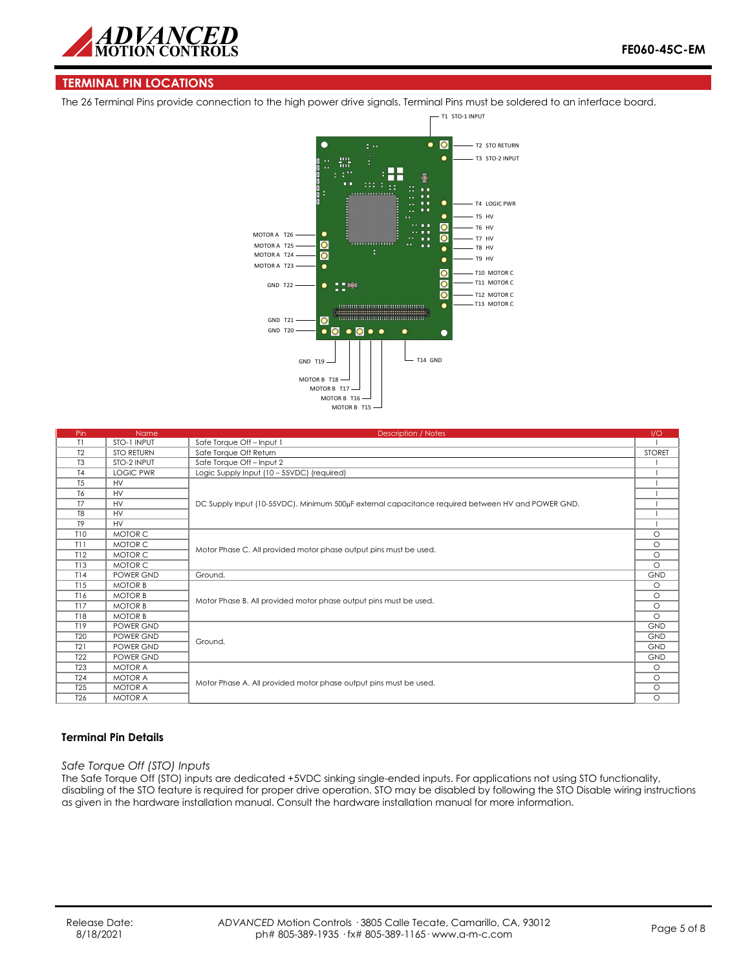

# **TERMINAL PIN LOCATIONS**

The 26 Terminal Pins provide connection to the high power drive signals. Terminal Pins must be soldered to an interface board.



| Pin             | <b>Name</b>       | <b>Description / Notes</b>                                                                        | 1/O           |
|-----------------|-------------------|---------------------------------------------------------------------------------------------------|---------------|
| T1              | STO-1 INPUT       | Safe Torque Off - Input 1                                                                         |               |
| T <sub>2</sub>  | <b>STO RETURN</b> | Safe Torque Off Return                                                                            | <b>STORET</b> |
| T <sub>3</sub>  | STO-2 INPUT       | Safe Torque Off - Input 2                                                                         |               |
| T <sub>4</sub>  | <b>LOGIC PWR</b>  | Logic Supply Input (10 - 55VDC) (required)                                                        |               |
| T <sub>5</sub>  | <b>HV</b>         |                                                                                                   |               |
| T6              | <b>HV</b>         |                                                                                                   |               |
| T <sub>7</sub>  | <b>HV</b>         | DC Supply Input (10-55VDC). Minimum 500µF external capacitance required between HV and POWER GND. |               |
| T <sub>8</sub>  | <b>HV</b>         |                                                                                                   |               |
| T <sub>9</sub>  | <b>HV</b>         |                                                                                                   |               |
| <b>T10</b>      | MOTOR C           |                                                                                                   | $\circ$       |
| T11             | MOTOR C           |                                                                                                   | $\circ$       |
| T12             | MOTOR C           | Motor Phase C. All provided motor phase output pins must be used.                                 | $\circ$       |
| T13             | MOTOR C           |                                                                                                   |               |
| T14             | POWER GND         | Ground.                                                                                           | <b>GND</b>    |
| T15             | <b>MOTOR B</b>    |                                                                                                   | $\circ$       |
| T16             | <b>MOTOR B</b>    | Motor Phase B. All provided motor phase output pins must be used.                                 |               |
| T17             | <b>MOTOR B</b>    |                                                                                                   |               |
| <b>T18</b>      | <b>MOTOR B</b>    |                                                                                                   |               |
| T19             | POWER GND         |                                                                                                   | <b>GND</b>    |
| <b>T20</b>      | POWER GND         | Ground.                                                                                           | <b>GND</b>    |
| T21             | POWER GND         |                                                                                                   | <b>GND</b>    |
| T <sub>22</sub> | POWER GND         |                                                                                                   |               |
| <b>T23</b>      | <b>MOTOR A</b>    |                                                                                                   | $\circ$       |
| <b>T24</b>      | <b>MOTOR A</b>    |                                                                                                   | $\circ$       |
| <b>T25</b>      | <b>MOTOR A</b>    | Motor Phase A. All provided motor phase output pins must be used.                                 |               |
| T <sub>26</sub> | <b>MOTOR A</b>    |                                                                                                   |               |

### **Terminal Pin Details**

*Safe Torque Off (STO) Inputs*

The Safe Torque Off (STO) inputs are dedicated +5VDC sinking single-ended inputs. For applications not using STO functionality, disabling of the STO feature is required for proper drive operation. STO may be disabled by following the STO Disable wiring instructions as given in the hardware installation manual. Consult the hardware installation manual for more information.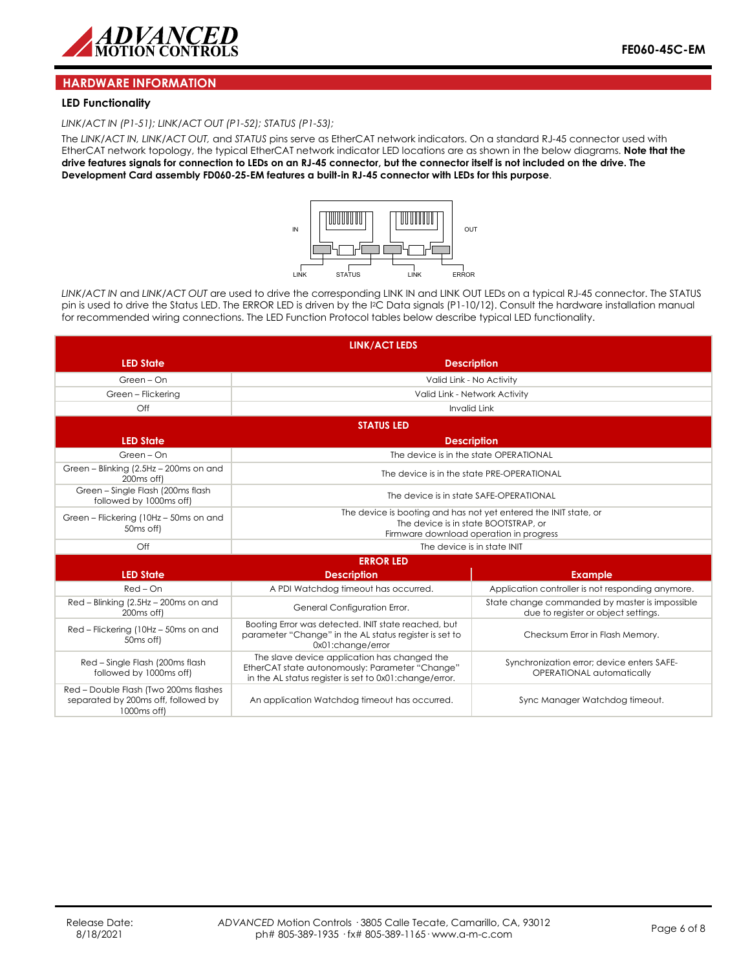

### **HARDWARE INFORMATION**

#### **LED Functionality**

*LINK/ACT IN (P1-51); LINK/ACT OUT (P1-52); STATUS (P1-53);* 

The *LINK/ACT IN, LINK/ACT OUT,* and *STATUS* pins serve as EtherCAT network indicators. On a standard RJ-45 connector used with EtherCAT network topology, the typical EtherCAT network indicator LED locations are as shown in the below diagrams. **Note that the drive features signals for connection to LEDs on an RJ-45 connector, but the connector itself is not included on the drive. The Development Card assembly FD060-25-EM features a built-in RJ-45 connector with LEDs for this purpose**.



*LINK/ACT IN* and *LINK/ACT OUT* are used to drive the corresponding LINK IN and LINK OUT LEDs on a typical RJ-45 connector. The STATUS pin is used to drive the Status LED. The ERROR LED is driven by the I2C Data signals (P1-10/12). Consult the hardware installation manual for recommended wiring connections. The LED Function Protocol tables below describe typical LED functionality.

| <b>LINK/ACT LEDS</b>                                                                        |                                                                                                                                                           |                                                                                                                                                     |  |  |  |
|---------------------------------------------------------------------------------------------|-----------------------------------------------------------------------------------------------------------------------------------------------------------|-----------------------------------------------------------------------------------------------------------------------------------------------------|--|--|--|
| <b>LED State</b>                                                                            | <b>Description</b>                                                                                                                                        |                                                                                                                                                     |  |  |  |
| Green - On                                                                                  |                                                                                                                                                           | Valid Link - No Activity                                                                                                                            |  |  |  |
| Green - Flickering                                                                          |                                                                                                                                                           | Valid Link - Network Activity                                                                                                                       |  |  |  |
| Off                                                                                         | <b>Invalid Link</b>                                                                                                                                       |                                                                                                                                                     |  |  |  |
|                                                                                             | <b>STATUS LED</b>                                                                                                                                         |                                                                                                                                                     |  |  |  |
| <b>LED State</b><br><b>Description</b>                                                      |                                                                                                                                                           |                                                                                                                                                     |  |  |  |
| Green - On                                                                                  |                                                                                                                                                           | The device is in the state OPERATIONAL                                                                                                              |  |  |  |
| Green - Blinking (2.5Hz - 200ms on and<br>200 <sub>ms</sub> off)                            | The device is in the state PRE-OPERATIONAL                                                                                                                |                                                                                                                                                     |  |  |  |
| Green - Single Flash (200ms flash<br>followed by 1000ms off)                                | The device is in state SAFE-OPERATIONAL                                                                                                                   |                                                                                                                                                     |  |  |  |
| Green - Flickering (10Hz - 50ms on and<br>50 <sub>ms</sub> off)                             |                                                                                                                                                           | The device is booting and has not yet entered the INIT state, or<br>The device is in state BOOTSTRAP, or<br>Firmware download operation in progress |  |  |  |
| Off                                                                                         | The device is in state INIT                                                                                                                               |                                                                                                                                                     |  |  |  |
| <b>ERROR LED</b>                                                                            |                                                                                                                                                           |                                                                                                                                                     |  |  |  |
| <b>LED State</b>                                                                            | <b>Description</b>                                                                                                                                        | <b>Example</b>                                                                                                                                      |  |  |  |
| $Red-On$                                                                                    | A PDI Watchdog timeout has occurred.                                                                                                                      | Application controller is not responding anymore.                                                                                                   |  |  |  |
| Red - Blinking (2.5Hz - 200ms on and<br>200 <sub>ms</sub> off)                              | General Configuration Error.                                                                                                                              | State change commanded by master is impossible<br>due to register or object settings.                                                               |  |  |  |
| Red - Flickering (10Hz - 50ms on and<br>50 <sub>ms</sub> off)                               | Booting Error was detected. INIT state reached, but<br>parameter "Change" in the AL status register is set to<br>0x01:change/error                        | Checksum Error in Flash Memory.                                                                                                                     |  |  |  |
| Red - Single Flash (200ms flash<br>followed by 1000ms off)                                  | The slave device application has changed the<br>EtherCAT state autonomously: Parameter "Change"<br>in the AL status register is set to 0x01:change/error. | Synchronization error; device enters SAFE-<br>OPERATIONAL automatically                                                                             |  |  |  |
| Red - Double Flash (Two 200ms flashes<br>separated by 200ms off, followed by<br>1000ms off) | An application Watchdog timeout has occurred.                                                                                                             | Sync Manager Watchdog timeout.                                                                                                                      |  |  |  |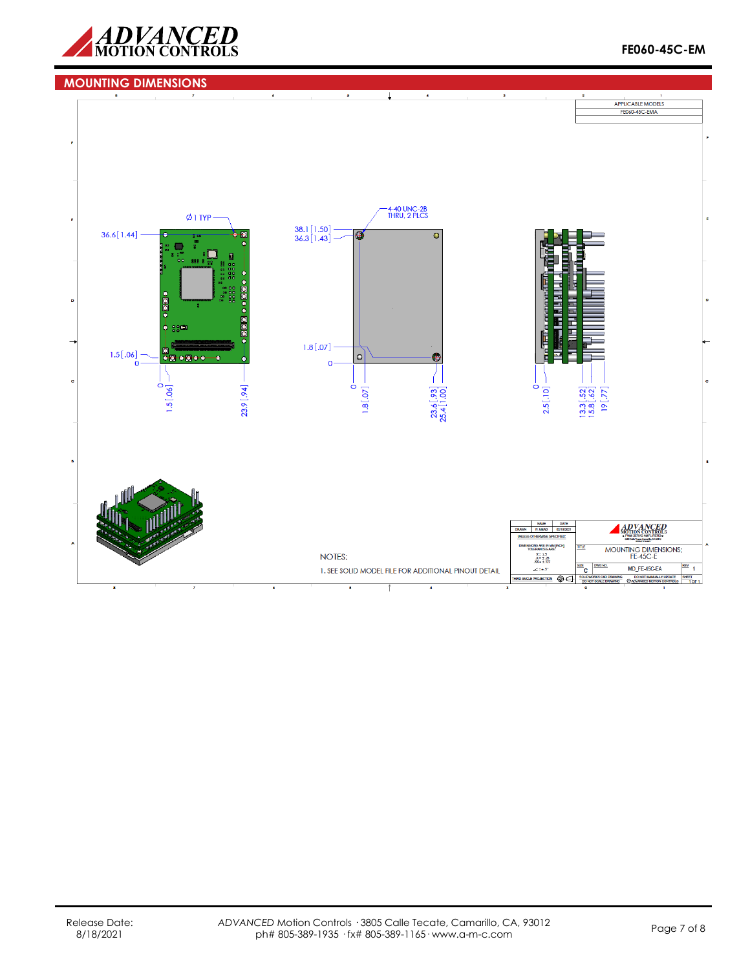

# **MOUNTING DIMENSIONS**